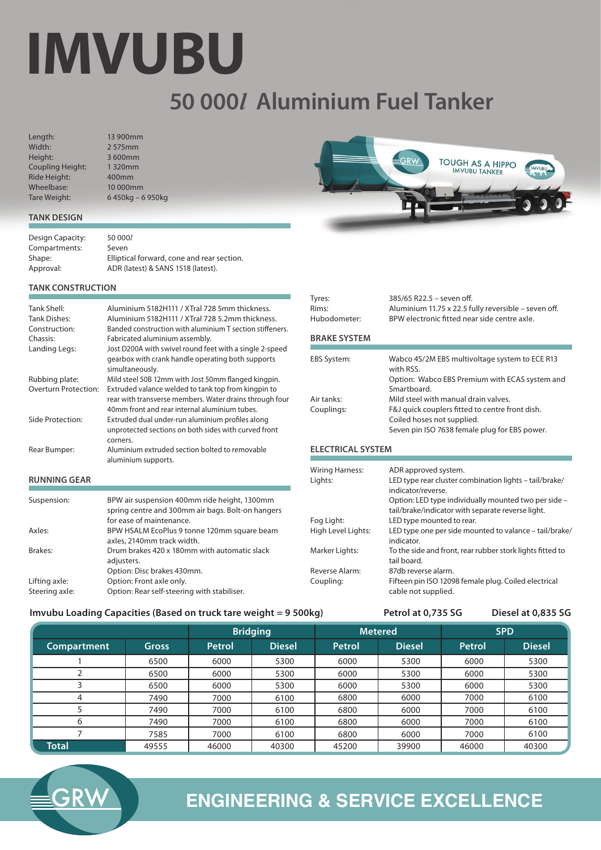# **IMVUBU**

# **50 000***l* **Aluminium Fuel Tanker**

Tyres:

Length: Width: Height: Coupling Height: Ride Height: Wheelbase: Tare Weight:

13 900mm 2 575mm 3 600mm 1 320mm 400mm 10 000mm 6 450kg – 6 950kg



# **TANK DESIGN**

| Design Capacity: | 50 000/                                    |
|------------------|--------------------------------------------|
| Compartments:    | Seven                                      |
| Shape:           | Elliptical forward, cone and rear section. |
| Approval:        | ADR (latest) & SANS 1518 (latest).         |

# **TANK CONSTRUCTION**

| Tank Shell:<br>Tank Dishes: | Aluminium 5182H111 / XTral 728 5mm thickness.<br>Aluminium 5182H111 / XTral 728 5.2mm thickness.                                                                |
|-----------------------------|-----------------------------------------------------------------------------------------------------------------------------------------------------------------|
| Construction:               | Banded construction with aluminium T section stiffeners.                                                                                                        |
| Chassis:                    | Fabricated aluminium assembly.                                                                                                                                  |
| Landing Legs:               | Jost D200A with swivel round feet with a single 2-speed<br>gearbox with crank handle operating both supports<br>simultaneously.                                 |
| Rubbing plate:              | Mild steel 50B 12mm with Jost 50mm flanged kingpin.                                                                                                             |
| Overturn Protection:        | Extruded valance welded to tank top from kingpin to<br>rear with transverse members. Water drains through four<br>40mm front and rear internal aluminium tubes. |
| Side Protection:            | Extruded dual under-run aluminium profiles along<br>unprotected sections on both sides with curved front<br>corners.                                            |
| Rear Bumper:                | Aluminium extruded section bolted to removable<br>aluminium supports.                                                                                           |

# **RUNNING GEAR**

| Suspension:                     | BPW air suspension 400mm ride height, 1300mm<br>spring centre and 300mm air bags. Bolt-on hangers<br>for ease of maintenance. |
|---------------------------------|-------------------------------------------------------------------------------------------------------------------------------|
| Axles:                          | BPW HSALM EcoPlus 9 tonne 120mm square beam<br>axles, 2140mm track width.                                                     |
| Brakes:                         | Drum brakes 420 x 180mm with automatic slack<br>adjusters.<br>Option: Disc brakes 430mm.                                      |
| Lifting axle:<br>Steering axle: | Option: Front axle only.<br>Option: Rear self-steering with stabiliser.                                                       |

| Rims:<br>Hubodometer: | Aluminium 11.75 x 22.5 fully reversible - seven off.<br>BPW electronic fitted near side centre axle. |
|-----------------------|------------------------------------------------------------------------------------------------------|
| <b>BRAKE SYSTEM</b>   |                                                                                                      |
|                       |                                                                                                      |
| <b>EBS System:</b>    | Wabco 4S/2M EBS multivoltage system to ECE R13<br>with RSS.                                          |
|                       | Option: Wabco EBS Premium with ECAS system and<br>Smartboard.                                        |
| Air tanks:            | Mild steel with manual drain valves.                                                                 |
| Couplings:            | F&J quick couplers fitted to centre front dish.<br>Coiled hoses not supplied.                        |
|                       | Seven pin ISO 7638 female plug for EBS power.                                                        |

385/65 R22.5 – seven off.

# **ELECTRICAL SYSTEM**

| <b>Wiring Harness:</b><br>Lights: | ADR approved system.<br>LED type rear cluster combination lights - tail/brake/<br>indicator/reverse.<br>Option: LED type individually mounted two per side -<br>tail/brake/indicator with separate reverse light. |
|-----------------------------------|-------------------------------------------------------------------------------------------------------------------------------------------------------------------------------------------------------------------|
| Fog Light:                        | LED type mounted to rear.                                                                                                                                                                                         |
| High Level Lights:                | LED type one per side mounted to valance - tail/brake/<br>indicator.                                                                                                                                              |
| Marker Lights:                    | To the side and front, rear rubber stork lights fitted to<br>tail board.                                                                                                                                          |
| Reverse Alarm:                    | 87db reverse alarm.                                                                                                                                                                                               |
| Coupling:                         | Fifteen pin ISO 12098 female plug. Coiled electrical<br>cable not supplied.                                                                                                                                       |

# **Imvubu Loading Capacities (Based on truck tare weight = 9 500kg) Petrol at 0,735 SG Diesel at 0,835 SG**

|              |              | <b>Bridging</b> |               | <b>Metered</b> |               | <b>SPD</b> |               |
|--------------|--------------|-----------------|---------------|----------------|---------------|------------|---------------|
| Compartment  | <b>Gross</b> | Petrol          | <b>Diesel</b> | <b>Petrol</b>  | <b>Diesel</b> | Petrol     | <b>Diesel</b> |
|              | 6500         | 6000            | 5300          | 6000           | 5300          | 6000       | 5300          |
|              | 6500         | 6000            | 5300          | 6000           | 5300          | 6000       | 5300          |
| ∍            | 6500         | 6000            | 5300          | 6000           | 5300          | 6000       | 5300          |
| 4            | 7490         | 7000            | 6100          | 6800           | 6000          | 7000       | 6100          |
|              | 7490         | 7000            | 6100          | 6800           | 6000          | 7000       | 6100          |
| 6            | 7490         | 7000            | 6100          | 6800           | 6000          | 7000       | 6100          |
|              | 7585         | 7000            | 6100          | 6800           | 6000          | 7000       | 6100          |
| <b>Total</b> | 49555        | 46000           | 40300         | 45200          | 39900         | 46000      | 40300         |



# **ENGINEERING & SERVICE EXCELLENCE**